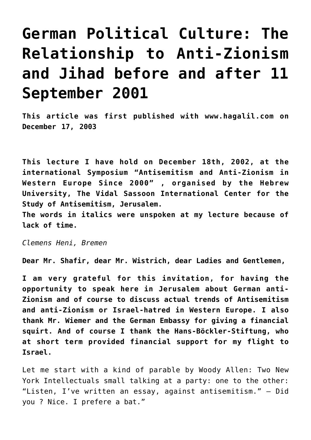## **[German Political Culture: The](https://www.clemensheni.net/german-political-culture-the-relationship-to-anti-zionism-and-jihad-before-and-after-11-september-2001/) [Relationship to Anti-Zionism](https://www.clemensheni.net/german-political-culture-the-relationship-to-anti-zionism-and-jihad-before-and-after-11-september-2001/) [and Jihad before and after 11](https://www.clemensheni.net/german-political-culture-the-relationship-to-anti-zionism-and-jihad-before-and-after-11-september-2001/) [September 2001](https://www.clemensheni.net/german-political-culture-the-relationship-to-anti-zionism-and-jihad-before-and-after-11-september-2001/)**

**This article was first published with www.hagalil.com on December 17, 2003**

**This lecture I have hold on December 18th, 2002, at the international Symposium "Antisemitism and Anti-Zionism in Western Europe Since 2000" , organised by the Hebrew University, [The Vidal Sassoon International Center for the](http://sicsa.huji.ac.il/) [Study of Antisemitism](http://sicsa.huji.ac.il/), Jerusalem.**

**The words in italics were unspoken at my lecture because of lack of time.**

*Clemens Heni, Bremen*

**Dear Mr. Shafir, dear Mr. Wistrich, dear Ladies and Gentlemen,**

**I am very grateful for this invitation, for having the opportunity to speak here in Jerusalem about German anti-Zionism and of course to discuss actual trends of Antisemitism and anti-Zionism or Israel-hatred in Western Europe. I also thank Mr. Wiemer and the German Embassy for giving a financial squirt. And of course I thank the Hans-Böckler-Stiftung, who at short term provided financial support for my flight to Israel.**

Let me start with a kind of parable by Woody Allen: Two New York Intellectuals small talking at a party: one to the other: "Listen, I've written an essay, against antisemitism." – Did you ? Nice. I prefere a bat."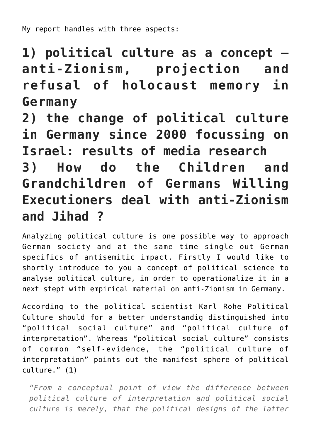My report handles with three aspects:

**1) political culture as a concept – anti-Zionism, projection and refusal of holocaust memory in Germany**

**2) the change of political culture in Germany since 2000 focussing on Israel: results of media research 3) How do the Children and Grandchildren of Germans Willing Executioners deal with anti-Zionism and Jihad ?**

Analyzing political culture is one possible way to approach German society and at the same time single out German specifics of antisemitic impact. Firstly I would like to shortly introduce to you a concept of political science to analyse political culture, in order to operationalize it in a next stept with empirical material on anti-Zionism in Germany.

According to the political scientist Karl Rohe Political Culture should for a better understandig distinguished into "political social culture" and "political culture of interpretation". Whereas "political social culture" consists of common "self-evidence, the "political culture of interpretation" points out the manifest sphere of political culture." (**[1](http://hagalil.com/antisemitismus/deutschland/heni.htm#%281%29)**)

*"From a conceptual point of view the difference between political culture of interpretation and political social culture is merely, that the political designs of the latter*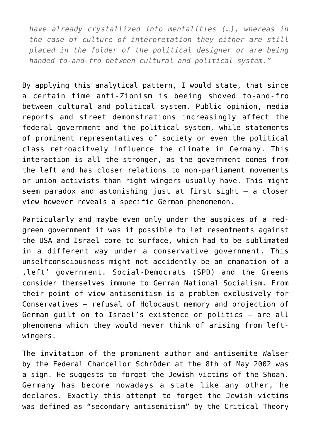*have already crystallized into mentalities (…), whereas in the case of culture of interpretation they either are still placed in the folder of the political designer or are being handed to-and-fro between cultural and political system."*

By applying this analytical pattern, I would state, that since a certain time anti-Zionism is beeing shoved to-and-fro between cultural and political system. Public opinion, media reports and street demonstrations increasingly affect the federal government and the political system, while statements of prominent representatives of society or even the political class retroacitvely influence the climate in Germany. This interaction is all the stronger, as the government comes from the left and has closer relations to non-parliament movements or union activists than right wingers usually have. This might seem paradox and astonishing just at first sight – a closer view however reveals a specific German phenomenon.

Particularly and maybe even only under the auspices of a redgreen government it was it possible to let resentments against the USA and Israel come to surface, which had to be sublimated in a different way under a conservative government. This unselfconsciousness might not accidently be an emanation of a .left' government. Social-Democrats (SPD) and the Greens consider themselves immune to German National Socialism. From their point of view antisemitism is a problem exclusively for Conservatives – refusal of Holocaust memory and projection of German guilt on to Israel's existence or politics – are all phenomena which they would never think of arising from leftwingers.

The invitation of the prominent author and antisemite Walser by the Federal Chancellor Schröder at the 8th of May 2002 was a sign. He suggests to forget the Jewish victims of the Shoah. Germany has become nowadays a state like any other, he declares. Exactly this attempt to forget the Jewish victims was defined as "secondary antisemitism" by the Critical Theory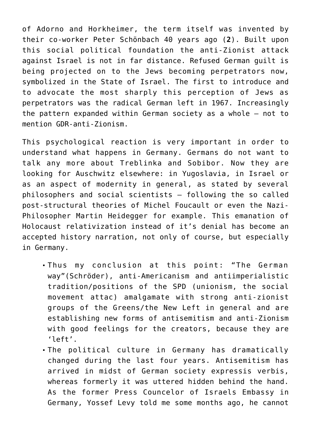of Adorno and Horkheimer, the term itself was invented by their co-worker Peter Schönbach 40 years ago (**[2](http://hagalil.com/antisemitismus/deutschland/heni.htm#%282%29)**). Built upon this social political foundation the anti-Zionist attack against Israel is not in far distance. Refused German guilt is being projected on to the Jews becoming perpetrators now, symbolized in the State of Israel. The first to introduce and to advocate the most sharply this perception of Jews as perpetrators was the radical German left in 1967. Increasingly the pattern expanded within German society as a whole – not to mention GDR-anti-Zionism.

This psychological reaction is very important in order to understand what happens in Germany. Germans do not want to talk any more about Treblinka and Sobibor. Now they are looking for Auschwitz elsewhere: in Yugoslavia, in Israel or as an aspect of modernity in general, as stated by several philosophers and social scientists – following the so called post-structural theories of Michel Foucault or even the Nazi-Philosopher Martin Heidegger for example. This emanation of Holocaust relativization instead of it's denial has become an accepted history narration, not only of course, but especially in Germany.

- Thus my conclusion at this point: "The German way"(Schröder), anti-Americanism and antiimperialistic tradition/positions of the SPD (unionism, the social movement attac) amalgamate with strong anti-zionist groups of the Greens/the New Left in general and are establishing new forms of antisemitism and anti-Zionism with good feelings for the creators, because they are 'left'.
- The political culture in Germany has dramatically changed during the last four years. Antisemitism has arrived in midst of German society expressis verbis, whereas formerly it was uttered hidden behind the hand. As the former Press Councelor of Israels Embassy in Germany, Yossef Levy told me some months ago, he cannot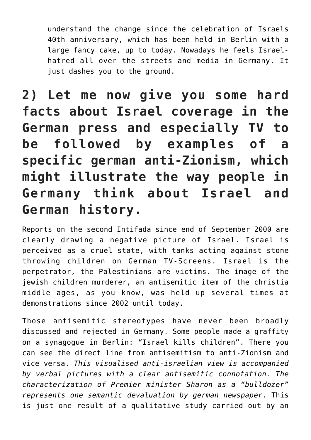understand the change since the celebration of Israels 40th anniversary, which has been held in Berlin with a large fancy cake, up to today. Nowadays he feels Israelhatred all over the streets and media in Germany. It just dashes you to the ground.

**2) Let me now give you some hard facts about Israel coverage in the German press and especially TV to be followed by examples of a specific german anti-Zionism, which might illustrate the way people in Germany think about Israel and German history.**

Reports on the second Intifada since end of September 2000 are clearly drawing a negative picture of Israel. Israel is perceived as a cruel state, with tanks acting against stone throwing children on German TV-Screens. Israel is the perpetrator, the Palestinians are victims. The image of the jewish children murderer, an antisemitic item of the christia middle ages, as you know, was held up several times at demonstrations since 2002 until today.

Those antisemitic stereotypes have never been broadly discussed and rejected in Germany. Some people made a graffity on a synagogue in Berlin: "Israel kills children". There you can see the direct line from antisemitism to anti-Zionism and vice versa. *This visualised anti-israelian view is accompanied by verbal pictures with a clear antisemitic connotation. The characterization of Premier minister Sharon as a "bulldozer" represents one semantic devaluation by german newspaper*. This is just one result of a qualitative study carried out by an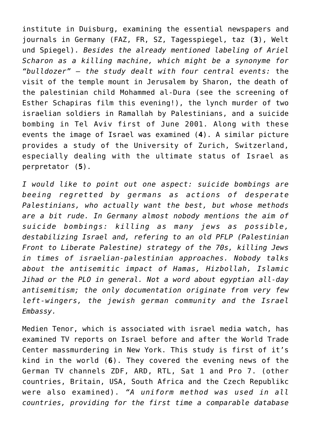institute in Duisburg, examining the essential newspapers and journals in Germany (FAZ, FR, SZ, Tagesspiegel, taz (**[3](http://hagalil.com/antisemitismus/deutschland/heni.htm#%283%29)**), Welt und Spiegel). *Besides the already mentioned labeling of Ariel Scharon as a killing machine, which might be a synonyme for "bulldozer" – the study dealt with four central events:* the visit of the temple mount in Jerusalem by Sharon, the death of the palestinian child Mohammed al-Dura (see the screening of Esther Schapiras film this evening!), the lynch murder of two israelian soldiers in Ramallah by Palestinians, and a suicide bombing in Tel Aviv first of June 2001. Along with these events the image of Israel was examined (**[4](http://hagalil.com/antisemitismus/deutschland/heni.htm#%284%29)**). A similar picture provides a study of the University of Zurich, Switzerland, especially dealing with the ultimate status of Israel as perpretator (**[5](http://hagalil.com/antisemitismus/deutschland/heni.htm#%285%29)**).

*I would like to point out one aspect: suicide bombings are beeing regretted by germans as actions of desperate Palestinians, who actually want the best, but whose methods are a bit rude. In Germany almost nobody mentions the aim of suicide bombings: killing as many jews as possible, destabilizing Israel and, refering to an old PFLP (Palestinian Front to Liberate Palestine) strategy of the 70s, killing Jews in times of israelian-palestinian approaches. Nobody talks about the antisemitic impact of Hamas, Hizbollah, Islamic Jihad or the PLO in general. Not a word about egyptian all-day antisemitism; the only documentation originate from very few left-wingers, the jewish german community and the Israel Embassy.*

Medien Tenor, which is associated with israel media watch, has examined TV reports on Israel before and after the World Trade Center massmurdering in New York. This study is first of it's kind in the world (**[6](http://hagalil.com/antisemitismus/deutschland/heni.htm#%286%29)**). They covered the evening news of the German TV channels ZDF, ARD, RTL, Sat 1 and Pro 7. (other countries, Britain, USA, South Africa and the Czech Republikc were also examined). *"A uniform method was used in all countries, providing for the first time a comparable database*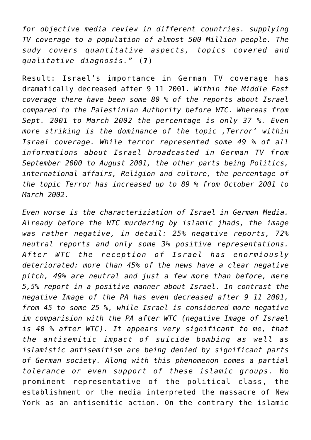*for objective media review in different countries. supplying TV coverage to a population of almost 500 Million people. The sudy covers quantitative aspects, topics covered and qualitative diagnosis."* (**[7](http://hagalil.com/antisemitismus/deutschland/heni.htm#%287%29)**)

Result: Israel's importance in German TV coverage has dramatically decreased after 9 11 2001. *Within the Middle East coverage there have been some 80 % of the reports about Israel compared to the Palestinian Authority before WTC. Whereas from Sept. 2001 to March 2002 the percentage is only 37 %. Even more striking is the dominance of the topic 'Terror' within Israel coverage. While terror represented some 49 % of all informations about Israel broadcasted in German TV from September 2000 to August 2001, the other parts being Politics, international affairs, Religion and culture, the percentage of the topic Terror has increased up to 89 % from October 2001 to March 2002.*

*Even worse is the characteriziation of Israel in German Media. Already before the WTC murdering by islamic jhads, the image was rather negative, in detail: 25% negative reports, 72% neutral reports and only some 3% positive representations. After WTC the reception of Israel has enormiously deteriorated: more than 45% of the news have a clear negative pitch, 49% are neutral and just a few more than before, mere 5,5% report in a positive manner about Israel. In contrast the negative Image of the PA has even decreased after 9 11 2001, from 45 to some 25 %, while Israel is considered more negative im comparision with the PA after WTC (negative Image of Israel is 40 % after WTC). It appears very significant to me, that the antisemitic impact of suicide bombing as well as islamistic antisemitism are being denied by significant parts of German society. Along with this phenomenon comes a partial tolerance or even support of these islamic groups.* No prominent representative of the political class, the establishment or the media interpreted the massacre of New York as an antisemitic action. On the contrary the islamic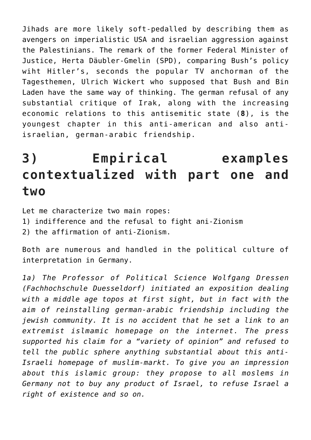Jihads are more likely soft-pedalled by describing them as avengers on imperialistic USA and israelian aggression against the Palestinians. The remark of the former Federal Minister of Justice, Herta Däubler-Gmelin (SPD), comparing Bush's policy wiht Hitler's, seconds the popular TV anchorman of the Tagesthemen, Ulrich Wickert who supposed that Bush and Bin Laden have the same way of thinking. The german refusal of any substantial critique of Irak, along with the increasing economic relations to this antisemitic state (**[8](http://hagalil.com/antisemitismus/deutschland/heni.htm#%288%29)**), is the youngest chapter in this anti-american and also antiisraelian, german-arabic friendship.

## **3) Empirical examples contextualized with part one and two**

Let me characterize two main ropes:

- 1) indifference and the refusal to fight ani-Zionism
- 2) the affirmation of anti-Zionism.

Both are numerous and handled in the political culture of interpretation in Germany.

*1a) The Professor of Political Science Wolfgang Dressen (Fachhochschule Duesseldorf) initiated an exposition dealing with a middle age topos at first sight, but in fact with the aim of reinstalling german-arabic friendship including the jewish community. It is no accident that he set a link to an extremist islmamic homepage on the internet. The press supported his claim for a "variety of opinion" and refused to tell the public sphere anything substantial about this anti-Israeli homepage of muslim-markt. To give you an impression about this islamic group: they propose to all moslems in Germany not to buy any product of Israel, to refuse Israel a right of existence and so on.*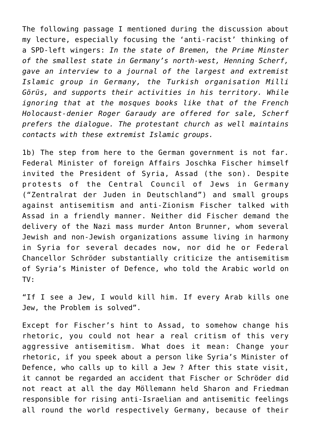The following passage I mentioned during the discussion about my lecture, especially focusing the 'anti-racist' thinking of a SPD-left wingers: *In the state of Bremen, the Prime Minster of the smallest state in Germany's north-west, Henning Scherf, gave an interview to a journal of the largest and extremist Islamic group in Germany, the Turkish organisation Milli Görüs, and supports their activities in his territory. While ignoring that at the mosques books like that of the French Holocaust-denier Roger Garaudy are offered for sale, Scherf prefers the dialogue. The protestant church as well maintains contacts with these extremist Islamic groups.*

1b) The step from here to the German government is not far. Federal Minister of foreign Affairs Joschka Fischer himself invited the President of Syria, Assad (the son). Despite protests of the Central Council of Jews in Germany ("Zentralrat der Juden in Deutschland") and small groups against antisemitism and anti-Zionism Fischer talked with Assad in a friendly manner. Neither did Fischer demand the delivery of the Nazi mass murder Anton Brunner, whom several Jewish and non-Jewish organizations assume living in harmony in Syria for several decades now, nor did he or Federal Chancellor Schröder substantially criticize the antisemitism of Syria's Minister of Defence, who told the Arabic world on TV:

"If I see a Jew, I would kill him. If every Arab kills one Jew, the Problem is solved".

Except for Fischer's hint to Assad, to somehow change his rhetoric, you could not hear a real critism of this very aggressive antisemitism. What does it mean: Change your rhetoric, if you speek about a person like Syria's Minister of Defence, who calls up to kill a Jew ? After this state visit, it cannot be regarded an accident that Fischer or Schröder did not react at all the day Möllemann held Sharon and Friedman responsible for rising anti-Israelian and antisemitic feelings all round the world respectively Germany, because of their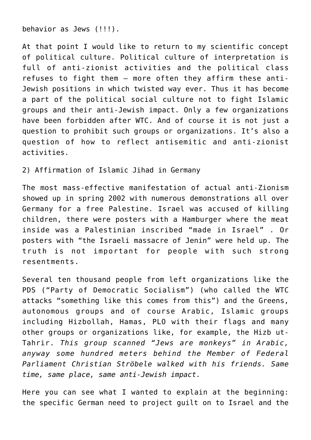behavior as Jews (!!!).

At that point I would like to return to my scientific concept of political culture. Political culture of interpretation is full of anti-zionist activities and the political class refuses to fight them – more often they affirm these anti-Jewish positions in which twisted way ever. Thus it has become a part of the political social culture not to fight Islamic groups and their anti-Jewish impact. Only a few organizations have been forbidden after WTC. And of course it is not just a question to prohibit such groups or organizations. It's also a question of how to reflect antisemitic and anti-zionist activities.

2) Affirmation of Islamic Jihad in Germany

The most mass-effective manifestation of actual anti-Zionism showed up in spring 2002 with numerous demonstrations all over Germany for a free Palestine. Israel was accused of killing children, there were posters with a Hamburger where the meat inside was a Palestinian inscribed "made in Israel" . Or posters with "the Israeli massacre of Jenin" were held up. The truth is not important for people with such strong resentments.

Several ten thousand people from left organizations like the PDS ("Party of Democratic Socialism") (who called the WTC attacks "something like this comes from this") and the Greens, autonomous groups and of course Arabic, Islamic groups including Hizbollah, Hamas, PLO with their flags and many other groups or organizations like, for example, the Hizb ut-Tahrir. *This group scanned "Jews are monkeys" in Arabic, anyway some hundred meters behind the Member of Federal Parliament Christian Ströbele walked with his friends. Same time, same place, same anti-Jewish impact.*

Here you can see what I wanted to explain at the beginning: the specific German need to project guilt on to Israel and the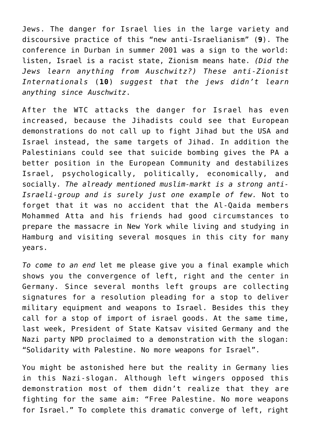Jews. The danger for Israel lies in the large variety and discoursive practice of this "new anti-Israelianism" (**[9](http://hagalil.com/antisemitismus/deutschland/heni.htm#%289%29)**). The conference in Durban in summer 2001 was a sign to the world: listen, Israel is a racist state, Zionism means hate. *(Did the Jews learn anything from Auschwitz?) These anti-Zionist Internationals* (**[10](http://hagalil.com/antisemitismus/deutschland/heni.htm#%2810%29)**) *suggest that the jews didn't learn anything since Auschwitz*.

After the WTC attacks the danger for Israel has even increased, because the Jihadists could see that European demonstrations do not call up to fight Jihad but the USA and Israel instead, the same targets of Jihad. In addition the Palestinians could see that suicide bombing gives the PA a better position in the European Community and destabilizes Israel, psychologically, politically, economically, and socially. *The already mentioned muslim-markt is a strong anti-Israeli-group and is surely just one example of few.* Not to forget that it was no accident that the Al-Qaida members Mohammed Atta and his friends had good circumstances to prepare the massacre in New York while living and studying in Hamburg and visiting several mosques in this city for many years.

*To come to an end* let me please give you a final example which shows you the convergence of left, right and the center in Germany. Since several months left groups are collecting signatures for a resolution pleading for a stop to deliver military equipment and weapons to Israel. Besides this they call for a stop of import of israel goods. At the same time, last week, President of State Katsav visited Germany and the Nazi party NPD proclaimed to a demonstration with the slogan: "Solidarity with Palestine. No more weapons for Israel".

You might be astonished here but the reality in Germany lies in this Nazi-slogan. Although left wingers opposed this demonstration most of them didn't realize that they are fighting for the same aim: "Free Palestine. No more weapons for Israel." To complete this dramatic converge of left, right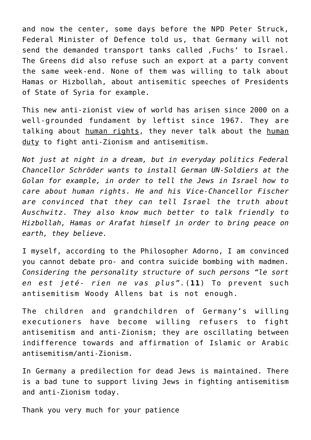and now the center, some days before the NPD Peter Struck, Federal Minister of Defence told us, that Germany will not send the demanded transport tanks called . Fuchs' to Israel. The Greens did also refuse such an export at a party convent the same week-end. None of them was willing to talk about Hamas or Hizbollah, about antisemitic speeches of Presidents of State of Syria for example.

This new anti-zionist view of world has arisen since 2000 on a well-grounded fundament by leftist since 1967. They are talking about human rights, they never talk about the human duty to fight anti-Zionism and antisemitism.

*Not just at night in a dream, but in everyday politics Federal Chancellor Schröder wants to install German UN-Soldiers at the Golan for example, in order to tell the Jews in Israel how to care about human rights. He and his Vice-Chancellor Fischer are convinced that they can tell Israel the truth about Auschwitz. They also know much better to talk friendly to Hizbollah, Hamas or Arafat himself in order to bring peace on earth, they believe.*

I myself, according to the Philosopher Adorno, I am convinced you cannot debate pro- and contra suicide bombing with madmen. *Considering the personality structure of such persons "le sort en est jeté- rien ne vas plus".*(**[11](http://hagalil.com/antisemitismus/deutschland/heni.htm#%2811%29)**) To prevent such antisemitism Woody Allens bat is not enough.

The children and grandchildren of Germany's willing executioners have become willing refusers to fight antisemitism and anti-Zionism; they are oscillating between indifference towards and affirmation of Islamic or Arabic antisemitism/anti-Zionism.

In Germany a predilection for dead Jews is maintained. There is a bad tune to support living Jews in fighting antisemitism and anti-Zionism today.

Thank you very much for your patience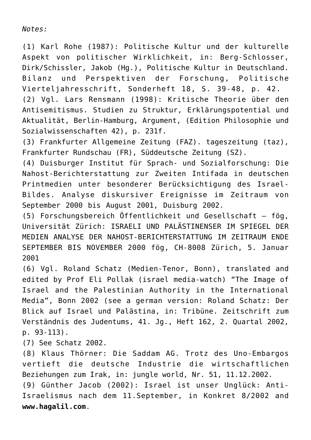*Notes:*

(1) Karl Rohe (1987): Politische Kultur und der kulturelle Aspekt von politischer Wirklichkeit, in: Berg-Schlosser, Dirk/Schissler, Jakob (Hg.), Politische Kultur in Deutschland. Bilanz und Perspektiven der Forschung, Politische Vierteljahresschrift, Sonderheft 18, S. 39-48, p. 42. (2) Vgl. Lars Rensmann (1998): Kritische Theorie über den Antisemitismus. Studien zu Struktur, Erklärungspotential und Aktualität, Berlin-Hamburg, Argument, (Edition Philosophie und Sozialwissenschaften 42), p. 231f.

(3) Frankfurter Allgemeine Zeitung (FAZ). tageszeitung (taz), Frankfurter Rundschau (FR), Süddeutsche Zeitung (SZ).

(4) Duisburger Institut für Sprach- und Sozialforschung: Die Nahost-Berichterstattung zur Zweiten Intifada in deutschen Printmedien unter besonderer Berücksichtigung des Israel-Bildes. Analyse diskursiver Ereignisse im Zeitraum von September 2000 bis August 2001, Duisburg 2002.

(5) Forschungsbereich Öffentlichkeit und Gesellschaft – fög, Universität Zürich: ISRAELI UND PALÄSTINENSER IM SPIEGEL DER MEDIEN ANALYSE DER NAHOST-BERICHTERSTATTUNG IM ZEITRAUM ENDE SEPTEMBER BIS NOVEMBER 2000 fög, CH-8008 Zürich, 5. Januar 2001

(6) Vgl. Roland Schatz (Medien-Tenor, Bonn), translated and edited by Prof Eli Pollak (israel media-watch) "The Image of Israel and the Palestinian Authority in the International Media", Bonn 2002 (see a german version: Roland Schatz: Der Blick auf Israel und Palästina, in: Tribüne. Zeitschrift zum Verständnis des Judentums, 41. Jg., Heft 162, 2. Quartal 2002, p. 93-113).

(7) See Schatz 2002.

(8) Klaus Thörner: Die Saddam AG. Trotz des Uno-Embargos vertieft die deutsche Industrie die wirtschaftlichen Beziehungen zum Irak, in: jungle world, Nr. 51, 11.12.2002. (9) Günther Jacob (2002): Israel ist unser Unglück: Anti-Israelismus nach dem 11.September, in Konkret 8/2002 and **[www.hagalil.com](http://www.klick-nach-rechts.de/gegen-rechts/2002/09/anti-israelismus.htm)**.